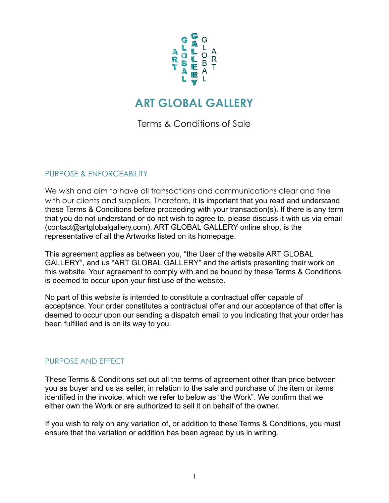

# **ART GLOBAL GALLERY**

Terms & Conditions of Sale

# PURPOSE & ENFORCEABILITY

We wish and aim to have all transactions and communications clear and fine with our clients and suppliers. Therefore, it is important that you read and understand these Terms & Conditions before proceeding with your transaction(s). If there is any term that you do not understand or do not wish to agree to, please discuss it with us via email (contact@artglobalgallery.com). ART GLOBAL GALLERY online shop, is the representative of all the Artworks listed on its homepage.

This agreement applies as between you, "the User of the website ART GLOBAL GALLERY", and us "ART GLOBAL GALLERY" and the artists presenting their work on this website. Your agreement to comply with and be bound by these Terms & Conditions is deemed to occur upon your first use of the website.

No part of this website is intended to constitute a contractual offer capable of acceptance. Your order constitutes a contractual offer and our acceptance of that offer is deemed to occur upon our sending a dispatch email to you indicating that your order has been fulfilled and is on its way to you.

## PURPOSE AND EFFECT

These Terms & Conditions set out all the terms of agreement other than price between you as buyer and us as seller, in relation to the sale and purchase of the item or items identified in the invoice, which we refer to below as "the Work". We confirm that we either own the Work or are authorized to sell it on behalf of the owner.

If you wish to rely on any variation of, or addition to these Terms & Conditions, you must ensure that the variation or addition has been agreed by us in writing.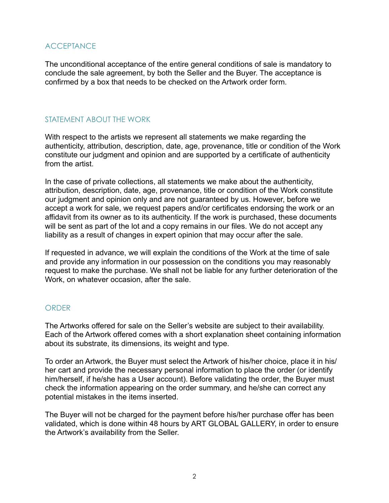# **ACCEPTANCE**

The unconditional acceptance of the entire general conditions of sale is mandatory to conclude the sale agreement, by both the Seller and the Buyer. The acceptance is confirmed by a box that needs to be checked on the Artwork order form.

# STATEMENT ABOUT THE WORK

With respect to the artists we represent all statements we make regarding the authenticity, attribution, description, date, age, provenance, title or condition of the Work constitute our judgment and opinion and are supported by a certificate of authenticity from the artist.

In the case of private collections, all statements we make about the authenticity, attribution, description, date, age, provenance, title or condition of the Work constitute our judgment and opinion only and are not guaranteed by us. However, before we accept a work for sale, we request papers and/or certificates endorsing the work or an affidavit from its owner as to its authenticity. If the work is purchased, these documents will be sent as part of the lot and a copy remains in our files. We do not accept any liability as a result of changes in expert opinion that may occur after the sale.

If requested in advance, we will explain the conditions of the Work at the time of sale and provide any information in our possession on the conditions you may reasonably request to make the purchase. We shall not be liable for any further deterioration of the Work, on whatever occasion, after the sale.

#### **ORDER**

The Artworks offered for sale on the Seller's website are subject to their availability. Each of the Artwork offered comes with a short explanation sheet containing information about its substrate, its dimensions, its weight and type.

To order an Artwork, the Buyer must select the Artwork of his/her choice, place it in his/ her cart and provide the necessary personal information to place the order (or identify him/herself, if he/she has a User account). Before validating the order, the Buyer must check the information appearing on the order summary, and he/she can correct any potential mistakes in the items inserted.

The Buyer will not be charged for the payment before his/her purchase offer has been validated, which is done within 48 hours by ART GLOBAL GALLERY, in order to ensure the Artwork's availability from the Seller.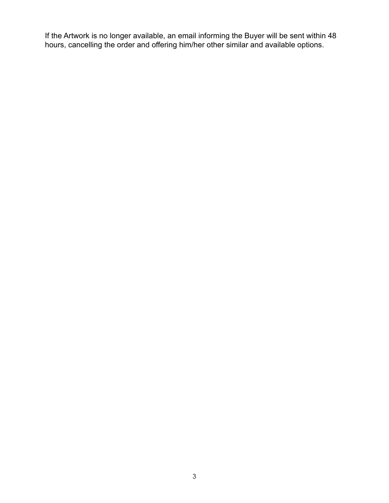If the Artwork is no longer available, an email informing the Buyer will be sent within 48 hours, cancelling the order and offering him/her other similar and available options.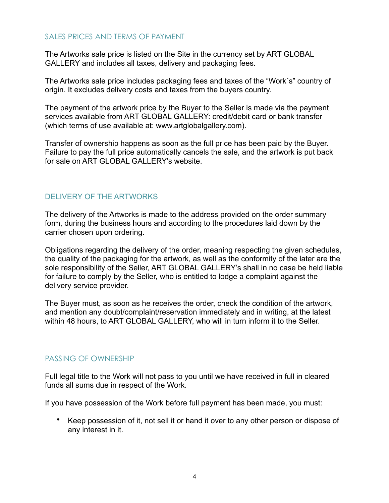#### SALES PRICES AND TERMS OF PAYMENT

The Artworks sale price is listed on the Site in the currency set by ART GLOBAL GALLERY and includes all taxes, delivery and packaging fees.

The Artworks sale price includes packaging fees and taxes of the "Work´s" country of origin. It excludes delivery costs and taxes from the buyers country.

The payment of the artwork price by the Buyer to the Seller is made via the payment services available from ART GLOBAL GALLERY: credit/debit card or bank transfer (which terms of use available at: [www.artglobalgallery.com\)](http://www.artglobalgallery.com).

Transfer of ownership happens as soon as the full price has been paid by the Buyer. Failure to pay the full price automatically cancels the sale, and the artwork is put back for sale on ART GLOBAL GALLERY's website.

#### DELIVERY OF THE ARTWORKS

The delivery of the Artworks is made to the address provided on the order summary form, during the business hours and according to the procedures laid down by the carrier chosen upon ordering.

Obligations regarding the delivery of the order, meaning respecting the given schedules, the quality of the packaging for the artwork, as well as the conformity of the later are the sole responsibility of the Seller, ART GLOBAL GALLERY's shall in no case be held liable for failure to comply by the Seller, who is entitled to lodge a complaint against the delivery service provider.

The Buyer must, as soon as he receives the order, check the condition of the artwork, and mention any doubt/complaint/reservation immediately and in writing, at the latest within 48 hours, to ART GLOBAL GALLERY, who will in turn inform it to the Seller.

#### PASSING OF OWNERSHIP

Full legal title to the Work will not pass to you until we have received in full in cleared funds all sums due in respect of the Work.

If you have possession of the Work before full payment has been made, you must:

• Keep possession of it, not sell it or hand it over to any other person or dispose of any interest in it.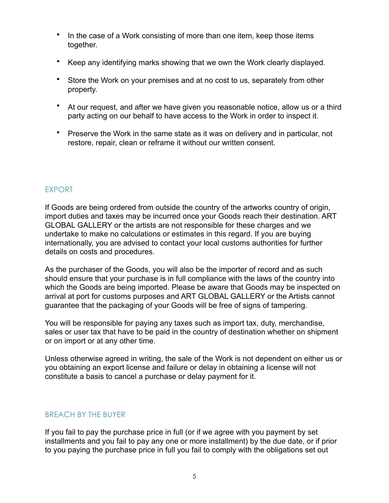- In the case of a Work consisting of more than one item, keep those items together.
- Keep any identifying marks showing that we own the Work clearly displayed.
- Store the Work on your premises and at no cost to us, separately from other property.
- At our request, and after we have given you reasonable notice, allow us or a third party acting on our behalf to have access to the Work in order to inspect it.
- Preserve the Work in the same state as it was on delivery and in particular, not restore, repair, clean or reframe it without our written consent.

# EXPORT

If Goods are being ordered from outside the country of the artworks country of origin, import duties and taxes may be incurred once your Goods reach their destination. ART GLOBAL GALLERY or the artists are not responsible for these charges and we undertake to make no calculations or estimates in this regard. If you are buying internationally, you are advised to contact your local customs authorities for further details on costs and procedures.

As the purchaser of the Goods, you will also be the importer of record and as such should ensure that your purchase is in full compliance with the laws of the country into which the Goods are being imported. Please be aware that Goods may be inspected on arrival at port for customs purposes and ART GLOBAL GALLERY or the Artists cannot guarantee that the packaging of your Goods will be free of signs of tampering.

You will be responsible for paying any taxes such as import tax, duty, merchandise, sales or user tax that have to be paid in the country of destination whether on shipment or on import or at any other time.

Unless otherwise agreed in writing, the sale of the Work is not dependent on either us or you obtaining an export license and failure or delay in obtaining a license will not constitute a basis to cancel a purchase or delay payment for it.

# BREACH BY THE BUYER

If you fail to pay the purchase price in full (or if we agree with you payment by set installments and you fail to pay any one or more installment) by the due date, or if prior to you paying the purchase price in full you fail to comply with the obligations set out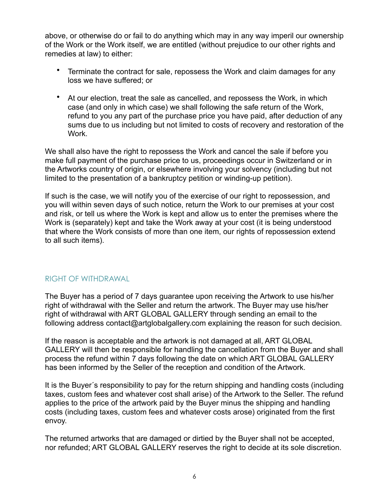above, or otherwise do or fail to do anything which may in any way imperil our ownership of the Work or the Work itself, we are entitled (without prejudice to our other rights and remedies at law) to either:

- Terminate the contract for sale, repossess the Work and claim damages for any loss we have suffered; or
- At our election, treat the sale as cancelled, and repossess the Work, in which case (and only in which case) we shall following the safe return of the Work, refund to you any part of the purchase price you have paid, after deduction of any sums due to us including but not limited to costs of recovery and restoration of the Work.

We shall also have the right to repossess the Work and cancel the sale if before you make full payment of the purchase price to us, proceedings occur in Switzerland or in the Artworks country of origin, or elsewhere involving your solvency (including but not limited to the presentation of a bankruptcy petition or winding-up petition).

If such is the case, we will notify you of the exercise of our right to repossession, and you will within seven days of such notice, return the Work to our premises at your cost and risk, or tell us where the Work is kept and allow us to enter the premises where the Work is (separately) kept and take the Work away at your cost (it is being understood that where the Work consists of more than one item, our rights of repossession extend to all such items).

## RIGHT OF WITHDRAWAL

The Buyer has a period of 7 days guarantee upon receiving the Artwork to use his/her right of withdrawal with the Seller and return the artwork. The Buyer may use his/her right of withdrawal with ART GLOBAL GALLERY through sending an email to the following address contact@artglobalgallery.com explaining the reason for such decision.

If the reason is acceptable and the artwork is not damaged at all, ART GLOBAL GALLERY will then be responsible for handling the cancellation from the Buyer and shall process the refund within 7 days following the date on which ART GLOBAL GALLERY has been informed by the Seller of the reception and condition of the Artwork.

It is the Buyer´s responsibility to pay for the return shipping and handling costs (including taxes, custom fees and whatever cost shall arise) of the Artwork to the Seller. The refund applies to the price of the artwork paid by the Buyer minus the shipping and handling costs (including taxes, custom fees and whatever costs arose) originated from the first envoy.

The returned artworks that are damaged or dirtied by the Buyer shall not be accepted, nor refunded; ART GLOBAL GALLERY reserves the right to decide at its sole discretion.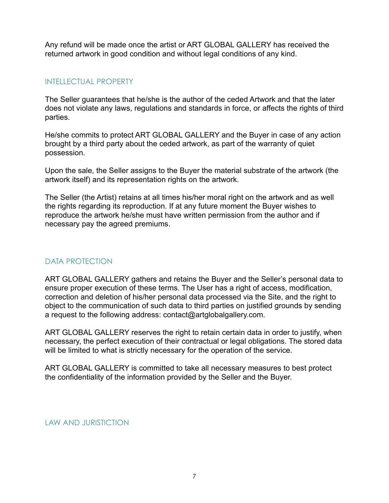Any refund will be made once the artist or ART GLOBAL GALLERY has received the returned artwork in good condition and without legal conditions of any kind.

## INTELLECTUAL PROPERTY

The Seller guarantees that he/she is the author of the ceded Artwork and that the later does not violate any laws, regulations and standards in force, or affects the rights of third parties.

He/she commits to protect ART GLOBAL GALLERY and the Buyer in case of any action brought by a third party about the ceded artwork, as part of the warranty of quiet possession.

Upon the sale, the Seller assigns to the Buyer the material substrate of the artwork (the artwork itself) and its representation rights on the artwork.

The Seller (the Artist) retains at all times his/her moral right on the artwork and as well the rights regarding its reproduction. If at any future moment the Buyer wishes to reproduce the artwork he/she must have written permission from the author and if necessary pay the agreed premiums.

# DATA PROTECTION

ART GLOBAL GALLERY gathers and retains the Buyer and the Seller's personal data to ensure proper execution of these terms. The User has a right of access, modification, correction and deletion of his/her personal data processed via the Site, and the right to object to the communication of such data to third parties on justified grounds by sending a request to the following address: [contact@artglobalgallery.com](mailto:contact@artglobalgallery.com).

ART GLOBAL GALLERY reserves the right to retain certain data in order to justify, when necessary, the perfect execution of their contractual or legal obligations. The stored data will be limited to what is strictly necessary for the operation of the service.

ART GLOBAL GALLERY is committed to take all necessary measures to best protect the confidentiality of the information provided by the Seller and the Buyer.

LAW AND JURISTICTION